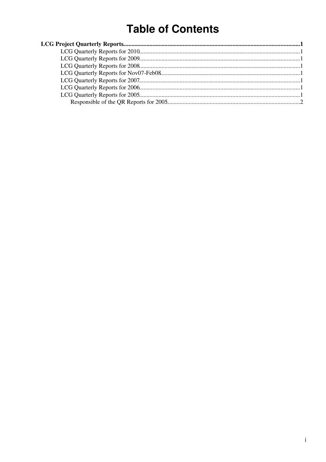# **Table of Contents**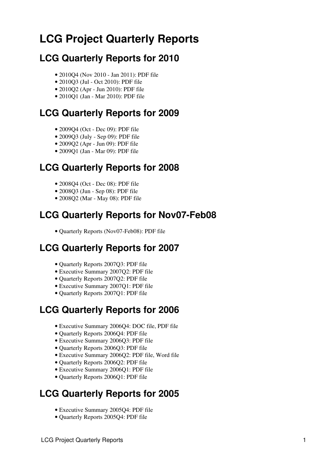# <span id="page-1-0"></span>**LCG Project Quarterly Reports**

# <span id="page-1-1"></span>**LCG Quarterly Reports for 2010**

- 2010Q4 (Nov 2010 Jan 2011): [PDF file](https://twiki.cern.ch/twiki/pub/LCG/QuarterlyReports/QR-2010Q4.pdf)
- 2010Q3 (Jul Oct 2010): [PDF file](https://twiki.cern.ch/twiki/pub/LCG/QuarterlyReports/QR-2010Q3.pdf)
- 2010Q2 (Apr Jun 2010): [PDF file](https://twiki.cern.ch/twiki/pub/LCG/QuarterlyReports/QR-2010Q2.pdf)
- 2010Q1 (Jan Mar 2010): [PDF file](https://twiki.cern.ch/twiki/pub/LCG/QuarterlyReports/QR_2010Q1.pdf)

# <span id="page-1-2"></span>**LCG Quarterly Reports for 2009**

- 2009O4 (Oct Dec 09): [PDF file](https://twiki.cern.ch/twiki/pub/LCG/QuarterlyReports/QR_2009Q4.pdf)
- 2009Q3 (July Sep 09): [PDF file](https://twiki.cern.ch/twiki/pub/LCG/QuarterlyReports/QR_2009Q3.pdf)
- 2009Q2 (Apr Jun 09): [PDF file](https://twiki.cern.ch/twiki/pub/LCG/QuarterlyReports/QR_2009Q2.pdf)
- 2009Q1 (Jan Mar 09): [PDF file](https://twiki.cern.ch/twiki/pub/LCG/QuarterlyReports/QR_2009Q1.pdf)

# <span id="page-1-3"></span>**LCG Quarterly Reports for 2008**

- 2008Q4 (Oct Dec 08): [PDF file](https://twiki.cern.ch/twiki/pub/LCG/QuarterlyReports/QR_2008Q4.pdf)
- 2008Q3 (Jun Sep 08): [PDF file](https://twiki.cern.ch/twiki/pub/LCG/QuarterlyReports/QR_2008Q3.pdf)
- 2008Q2 (Mar May 08): [PDF file](https://twiki.cern.ch/twiki/pub/LCG/QuarterlyReports/QR_2008-March-May.pdf)

#### <span id="page-1-4"></span>**LCG Quarterly Reports for Nov07-Feb08**

• Quarterly Reports (Nov07-Feb08): [PDF file](https://twiki.cern.ch/twiki/pub/LCG/QuarterlyReports/QR-Nov%202007-Feb%202008.pdf)

# <span id="page-1-5"></span>**LCG Quarterly Reports for 2007**

- Quarterly Reports 2007Q3: [PDF file](https://twiki.cern.ch/twiki/pub/LCG/QuarterlyReports/QR_2007Q3.pdf)
- Executive Summary 2007Q2: [PDF file](https://twiki.cern.ch/twiki/pub/LCG/QuarterlyReports/Exec_Summary_QR_2007Q2.pdf)
- Quarterly Reports 2007Q2: [PDF file](https://twiki.cern.ch/twiki/pub/LCG/QuarterlyReports/QR_2007Q2.pdf)
- Executive Summary 2007Q1: [PDF file](https://twiki.cern.ch/twiki/pub/LCG/QuarterlyReports/Exec_Summary_QR_2007Q1.pdf)
- Quarterly Reports 2007Q1: [PDF file](https://twiki.cern.ch/twiki/pub/LCG/QuarterlyReports/QR_2007Q1.pdf)

# <span id="page-1-6"></span>**LCG Quarterly Reports for 2006**

- Executive Summary 2006Q4: [DOC file](https://twiki.cern.ch/twiki/pub/LCG/QuarterlyReports/Exec_Summary_QR_2006Q4.doc), [PDF file](https://twiki.cern.ch/twiki/pub/LCG/QuarterlyReports/Exec_Summary_QR_2006Q4.pdf)
- Quarterly Reports 2006Q4: [PDF file](https://twiki.cern.ch/twiki/pub/LCG/QuarterlyReports/QR_2006Q4.pdf)
- Executive Summary 2006Q3: [PDF file](https://twiki.cern.ch/twiki/pub/LCG/QuarterlyReports/Exec_Summary_QR_2006Q3.pdf)
- Quarterly Reports 2006Q3: [PDF file](https://twiki.cern.ch/twiki/pub/LCG/QuarterlyReports/QR_2006Q3.pdf)
- Executive Summary 2006Q2: [PDF file](https://twiki.cern.ch/twiki/pub/LCG/QuarterlyReports/Exec_Summary_QR_2006Q2.pdf), [Word file](https://twiki.cern.ch/twiki/pub/LCG/QuarterlyReports/Exec_Summary_QR_2006Q2.doc)
- Quarterly Reports 2006Q2: [PDF file](https://twiki.cern.ch/twiki/pub/LCG/QuarterlyReports/QR_2006Q2.pdf)
- Executive Summary 2006Q1: [PDF file](https://twiki.cern.ch/twiki/pub/LCG/QuarterlyReports/Exec_Summary_QR_2006Q1.pdf)
- Quarterly Reports 2006Q1: [PDF file](https://twiki.cern.ch/twiki/pub/LCG/QuarterlyReports/QR_2006Q1.pdf)

# <span id="page-1-7"></span>**LCG Quarterly Reports for 2005**

- Executive Summary 2005Q4: [PDF file](https://twiki.cern.ch/twiki/pub/LCG/QuarterlyReports/Exec_Summary_QR_2005Q4.pdf)
- Quarterly Reports 2005Q4: [PDF file](https://twiki.cern.ch/twiki/pub/LCG/QuarterlyReports/QR_2005Q4.pdf)